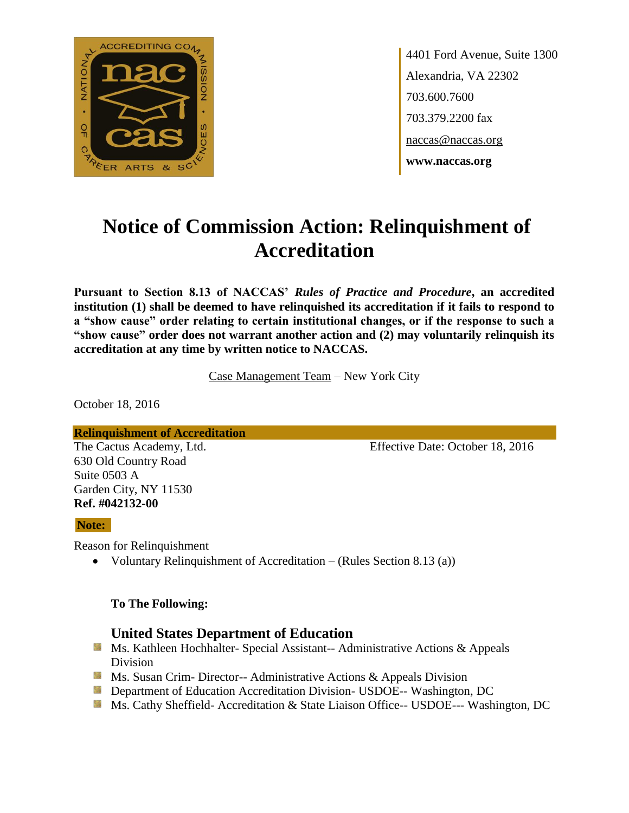

4401 Ford Avenue, Suite 1300 Alexandria, VA 22302 703.600.7600 703.379.2200 fax naccas@naccas.org **www.naccas.org**

# **Notice of Commission Action: Relinquishment of Accreditation**

**Pursuant to Section 8.13 of NACCAS'** *Rules of Practice and Procedure***, an accredited institution (1) shall be deemed to have relinquished its accreditation if it fails to respond to a "show cause" order relating to certain institutional changes, or if the response to such a "show cause" order does not warrant another action and (2) may voluntarily relinquish its accreditation at any time by written notice to NACCAS.**

Case Management Team – New York City

October 18, 2016

#### **Relinquishment of Accreditation**

630 Old Country Road Suite 0503 A Garden City, NY 11530 **Ref. #042132-00**

The Cactus Academy, Ltd. Effective Date: October 18, 2016

#### **Note:**

Reason for Relinquishment

• Voluntary Relinquishment of Accreditation – (Rules Section 8.13 (a))

#### **To The Following:**

### **United States Department of Education**

- **Ms. Kathleen Hochhalter- Special Assistant-- Administrative Actions & Appeals** Division
- **Ms. Susan Crim- Director-- Administrative Actions & Appeals Division**
- **Department of Education Accreditation Division- USDOE-- Washington, DC**
- Ms. Cathy Sheffield- Accreditation & State Liaison Office-- USDOE--- Washington, DC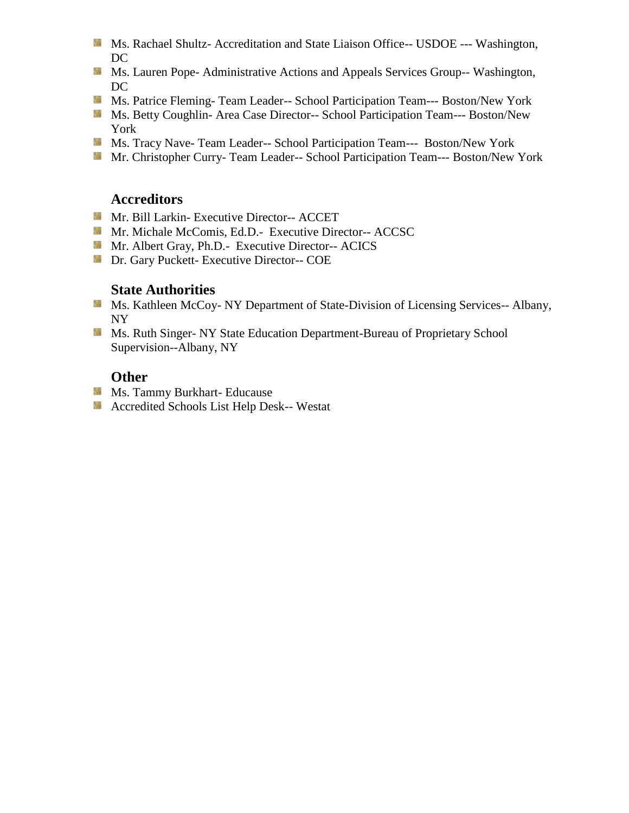- **MS. Rachael Shultz- Accreditation and State Liaison Office-- USDOE --- Washington,** DC
- **MS. Lauren Pope- Administrative Actions and Appeals Services Group-- Washington,** DC
- Ms. Patrice Fleming-Team Leader-- School Participation Team--- Boston/New York
- Ms. Betty Coughlin- Area Case Director-- School Participation Team--- Boston/New York
- Ms. Tracy Nave- Team Leader-- School Participation Team--- Boston/New York
- Mr. Christopher Curry- Team Leader-- School Participation Team--- Boston/New York

# **Accreditors**

- Mr. Bill Larkin- Executive Director-- ACCET
- Mr. Michale McComis, Ed.D.- Executive Director-- ACCSC
- Mr. Albert Gray, Ph.D.- Executive Director-- ACICS
- **Dr.** Gary Puckett- Executive Director-- COE

## **State Authorities**

- **Ms. Kathleen McCoy- NY Department of State-Division of Licensing Services-- Albany,** NY
- **MS. Ruth Singer- NY State Education Department-Bureau of Proprietary School** Supervision--Albany, NY

# **Other**

- **Ms. Tammy Burkhart- Educause**
- **Accredited Schools List Help Desk-- Westat**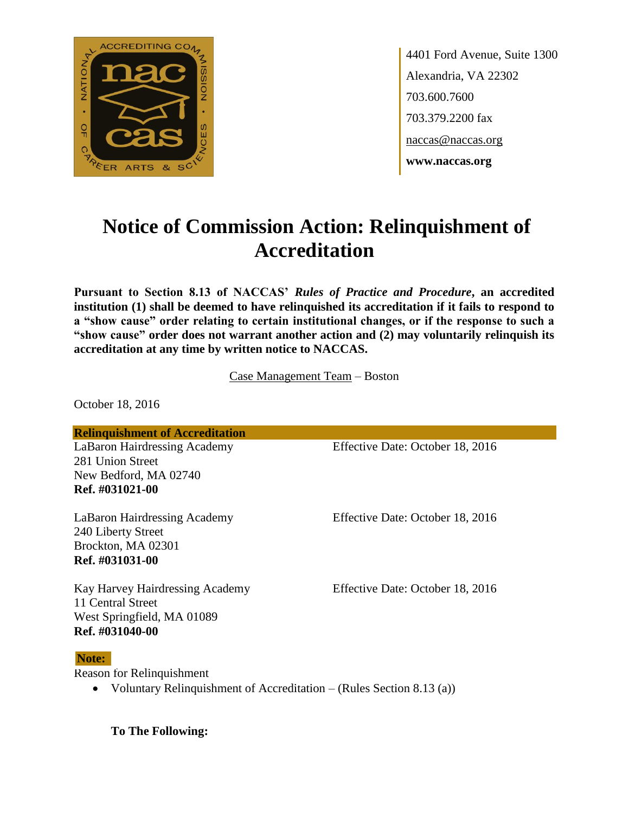

4401 Ford Avenue, Suite 1300 Alexandria, VA 22302 703.600.7600 703.379.2200 fax naccas@naccas.org **www.naccas.org**

# **Notice of Commission Action: Relinquishment of Accreditation**

**Pursuant to Section 8.13 of NACCAS'** *Rules of Practice and Procedure***, an accredited institution (1) shall be deemed to have relinquished its accreditation if it fails to respond to a "show cause" order relating to certain institutional changes, or if the response to such a "show cause" order does not warrant another action and (2) may voluntarily relinquish its accreditation at any time by written notice to NACCAS.**

Case Management Team – Boston

October 18, 2016

**Relinquishment of Accreditation**

LaBaron Hairdressing Academy Effective Date: October 18, 2016 281 Union Street New Bedford, MA 02740 **Ref. #031021-00**

240 Liberty Street Brockton, MA 02301 **Ref. #031031-00**

Kay Harvey Hairdressing Academy Effective Date: October 18, 2016 11 Central Street West Springfield, MA 01089 **Ref. #031040-00**

#### **Note:**

Reason for Relinquishment

Voluntary Relinquishment of Accreditation – (Rules Section 8.13 (a))

**To The Following:**

LaBaron Hairdressing Academy Effective Date: October 18, 2016